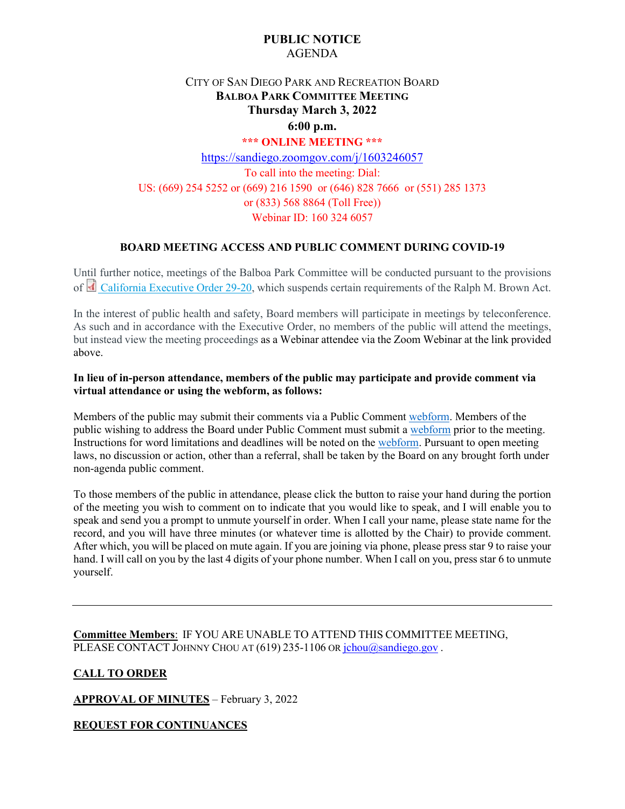# **PUBLIC NOTICE** AGENDA

# CITY OF SAN DIEGO PARK AND RECREATION BOARD **BALBOA PARK COMMITTEE MEETING Thursday March 3, 2022**

# **6:00 p.m.**

## **\*\*\* ONLINE MEETING \*\*\***

<https://sandiego.zoomgov.com/j/1603246057> To call into the meeting: Dial: US: (669) 254 5252 or (669) 216 1590 or (646) 828 7666 or (551) 285 1373 or (833) 568 8864 (Toll Free)) Webinar ID: 160 324 6057

## **BOARD MEETING ACCESS AND PUBLIC COMMENT DURING COVID-19**

Until further notice, meetings of the Balboa Park Committee will be conducted pursuant to the provisions of [California Executive Order 29-20,](http://www.gov.ca.gov/wp-content/uploads/2020/03/3.17.20-N-29-20-EO.pdf) which suspends certain requirements of the Ralph M. Brown Act.

In the interest of public health and safety, Board members will participate in meetings by teleconference. As such and in accordance with the Executive Order, no members of the public will attend the meetings, but instead view the meeting proceedings as a Webinar attendee via the Zoom Webinar at the link provided above.

## **In lieu of in-person attendance, members of the public may participate and provide comment via virtual attendance or using the webform, as follows:**

Members of the public may submit their comments via a Public Commen[t webform.](https://www.sandiego.gov/boards-and-commissions/public-comment) Members of the public wishing to address the Board under Public Comment must submit a [webform](https://www.sandiego.gov/boards-and-commissions/public-comment) prior to the meeting. Instructions for word limitations and deadlines will be noted on the [webform.](https://www.sandiego.gov/boards-and-commissions/public-comment) Pursuant to open meeting laws, no discussion or action, other than a referral, shall be taken by the Board on any brought forth under non-agenda public comment.

To those members of the public in attendance, please click the button to raise your hand during the portion of the meeting you wish to comment on to indicate that you would like to speak, and I will enable you to speak and send you a prompt to unmute yourself in order. When I call your name, please state name for the record, and you will have three minutes (or whatever time is allotted by the Chair) to provide comment. After which, you will be placed on mute again. If you are joining via phone, please press star 9 to raise your hand. I will call on you by the last 4 digits of your phone number. When I call on you, press star 6 to unmute yourself.

**Committee Members**: IF YOU ARE UNABLE TO ATTEND THIS COMMITTEE MEETING, PLEASE CONTACT JOHNNY CHOU AT (619) 235-1106 OR [jchou@sandiego.gov](mailto:jchou@sandiego.gov).

## **CALL TO ORDER**

**APPROVAL OF MINUTES** – February 3, 2022

## **REQUEST FOR CONTINUANCES**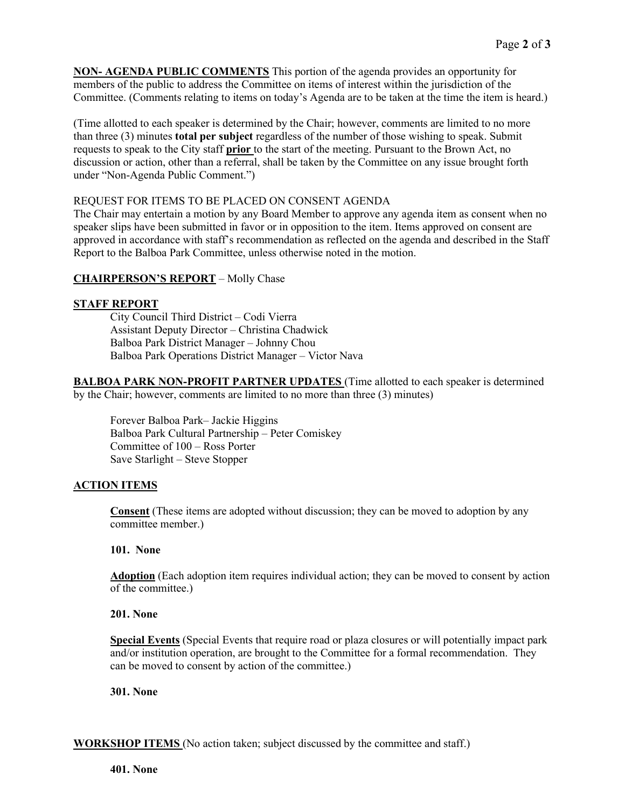**NON- AGENDA PUBLIC COMMENTS** This portion of the agenda provides an opportunity for members of the public to address the Committee on items of interest within the jurisdiction of the Committee. (Comments relating to items on today's Agenda are to be taken at the time the item is heard.)

(Time allotted to each speaker is determined by the Chair; however, comments are limited to no more than three (3) minutes **total per subject** regardless of the number of those wishing to speak. Submit requests to speak to the City staff **prior** to the start of the meeting. Pursuant to the Brown Act, no discussion or action, other than a referral, shall be taken by the Committee on any issue brought forth under "Non-Agenda Public Comment.")

## REQUEST FOR ITEMS TO BE PLACED ON CONSENT AGENDA

The Chair may entertain a motion by any Board Member to approve any agenda item as consent when no speaker slips have been submitted in favor or in opposition to the item. Items approved on consent are approved in accordance with staff's recommendation as reflected on the agenda and described in the Staff Report to the Balboa Park Committee, unless otherwise noted in the motion.

## **CHAIRPERSON'S REPORT** – Molly Chase

## **STAFF REPORT**

City Council Third District – Codi Vierra Assistant Deputy Director – Christina Chadwick Balboa Park District Manager – Johnny Chou Balboa Park Operations District Manager – Victor Nava

**BALBOA PARK NON-PROFIT PARTNER UPDATES** (Time allotted to each speaker is determined by the Chair; however, comments are limited to no more than three (3) minutes)

Forever Balboa Park– Jackie Higgins Balboa Park Cultural Partnership – Peter Comiskey Committee of 100 – Ross Porter Save Starlight – Steve Stopper

## **ACTION ITEMS**

**Consent** (These items are adopted without discussion; they can be moved to adoption by any committee member.)

## **101. None**

**Adoption** (Each adoption item requires individual action; they can be moved to consent by action of the committee.)

## **201. None**

**Special Events** (Special Events that require road or plaza closures or will potentially impact park and/or institution operation, are brought to the Committee for a formal recommendation. They can be moved to consent by action of the committee.)

## **301. None**

**WORKSHOP ITEMS** (No action taken; subject discussed by the committee and staff.)

**401. None**